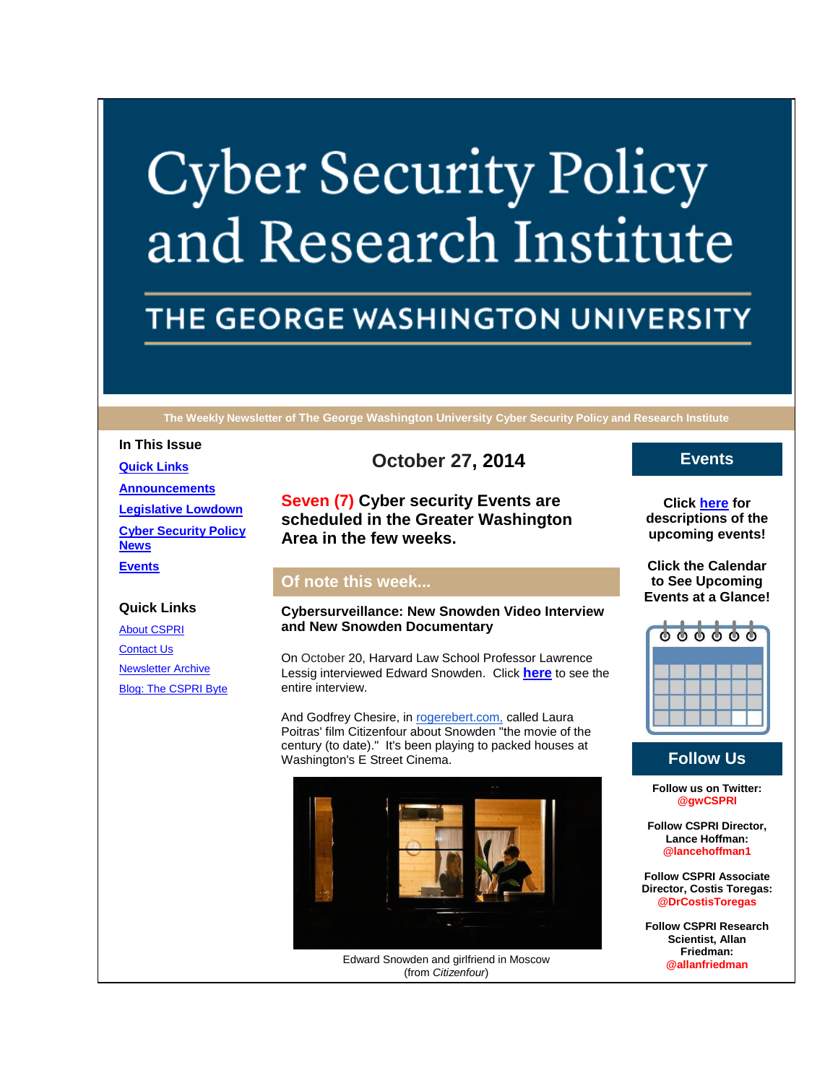# **Cyber Security Policy** and Research Institute

# THE GEORGE WASHINGTON UNIVERSITY

**The Weekly Newsletter of The George Washington University Cyber Security Policy and Research Institute**

#### **In This Issue**

**[Quick Links](https://mail.google.com/mail/u/0/#14952d97badd64f8_LETTER.BLOCK5) [Announcements](https://mail.google.com/mail/u/0/#14952d97badd64f8_LETTER.BLOCK26) [Legislative Lowdown](https://mail.google.com/mail/u/0/#14952d97badd64f8_LETTER.BLOCK52) [Cyber Security Policy](https://mail.google.com/mail/u/0/#14952d97badd64f8_LETTER.BLOCK53)  [News](https://mail.google.com/mail/u/0/#14952d97badd64f8_LETTER.BLOCK53) [Events](https://mail.google.com/mail/u/0/#14952d97badd64f8_LETTER.BLOCK30)**

### **Quick Links**

[About CSPRI](http://r20.rs6.net/tn.jsp?f=0012jQ_6oV2taN7JtFKrNpFd3U8W705VHFpXOx399xGQu-EmEnF_spTd1PY41_lqsn3boxP-jaDjKGdsPkXpDfJdttmqyteDRjyDWDmIpMiSv2JH6Q_pjtd8_9eqnMlkR-8wYx-OZNwMlr7Lj-KDJbhvnc6nn6Py1hm-hbJTfWajhGDK66sMgqChvYEP6-SSedi&c=nMDzw4fowYLr108iDvEmTFsggP3kIPsjm_gJnrM7hJ6JIU6AjwEhWA==&ch=oIejaiLfhDdxhFNFfGGg3IbWmaZy8Od8-xam9qM4S39ayl6erO8B6g==) [Contact Us](http://r20.rs6.net/tn.jsp?f=0012jQ_6oV2taN7JtFKrNpFd3U8W705VHFpXOx399xGQu-EmEnF_spTd1PY41_lqsn3oBGz4hGoJmwYCobkA2OwLH79-IvQSgLjqIg54UysMdW8igvf_AEQDsy7LxTci3vzCE_17Avm635iL9y03-6jZFRDiH0e5rDdLOPtYWNC2EDgoRYRFUB71V16eXWKGioW9ASOvkXpQxM=&c=nMDzw4fowYLr108iDvEmTFsggP3kIPsjm_gJnrM7hJ6JIU6AjwEhWA==&ch=oIejaiLfhDdxhFNFfGGg3IbWmaZy8Od8-xam9qM4S39ayl6erO8B6g==) [Newsletter Archive](http://r20.rs6.net/tn.jsp?f=0012jQ_6oV2taN7JtFKrNpFd3U8W705VHFpXOx399xGQu-EmEnF_spTd1PY41_lqsn359r6hwkD_YtHisAGW8R4U9IH8_309ReT67vsP-p0eZo61BEkM-g7Qela8pBuMwD7J9-EQ97XTdhXCLCKpPI1nbCDvX3YOTLz7sp8Mk22BilPFUjHA3_iZ3ubu70PM8erOxtvupAEEBE=&c=nMDzw4fowYLr108iDvEmTFsggP3kIPsjm_gJnrM7hJ6JIU6AjwEhWA==&ch=oIejaiLfhDdxhFNFfGGg3IbWmaZy8Od8-xam9qM4S39ayl6erO8B6g==) [Blog: The CSPRI Byte](http://r20.rs6.net/tn.jsp?f=0012jQ_6oV2taN7JtFKrNpFd3U8W705VHFpXOx399xGQu-EmEnF_spTd1PY41_lqsn3n4QH62T7AjiEeDMoghlRn8GegUD5RvkyuIBlKUD7ry8OkNhIx8tpgN7O5AqgCA-XmObr_cvdc77_aDc4XnGNUrUkejO3-iauZvH5isWk-QWQp_OaR44jSpN8BS1OVzOm&c=nMDzw4fowYLr108iDvEmTFsggP3kIPsjm_gJnrM7hJ6JIU6AjwEhWA==&ch=oIejaiLfhDdxhFNFfGGg3IbWmaZy8Od8-xam9qM4S39ayl6erO8B6g==)

# **October 27, 2014**

**Seven (7) Cyber security Events are scheduled in the Greater Washington Area in the few weeks.**

# **Of note this week...**

#### **Cybersurveillance: New Snowden Video Interview and New Snowden Documentary**

On October 20, Harvard Law School Professor Lawrence Lessig interviewed Edward Snowden. Click **[here](http://r20.rs6.net/tn.jsp?f=0012jQ_6oV2taN7JtFKrNpFd3U8W705VHFpXOx399xGQu-EmEnF_spTd7vwcOKH_65Ayzd6r767yyqCKGwVu7gILAzAelJcZOPmkc2JVq-Mi9l_1yupZ2bdpJSJl2ztHDc2BOh924b0kOo9zMY_yrwGtOTwq7pD_matGuxRFB3BWeT8jUmdEapcYmVKGF5OBYHUkPlWOPVPIWddUfdmlTc_f8YH5CL2v3RpsSmVNuzRjAs=&c=nMDzw4fowYLr108iDvEmTFsggP3kIPsjm_gJnrM7hJ6JIU6AjwEhWA==&ch=oIejaiLfhDdxhFNFfGGg3IbWmaZy8Od8-xam9qM4S39ayl6erO8B6g==)** to see the entire interview.

And Godfrey Chesire, in [rogerebert.com,](http://r20.rs6.net/tn.jsp?f=0012jQ_6oV2taN7JtFKrNpFd3U8W705VHFpXOx399xGQu-EmEnF_spTd7vwcOKH_65Am_rBdhdb-3PfVzMw3yML-i374qGE1yBbaJEmePJFsWdPkQE6O7oYzqhHPd-_MklaO2EcLe7mcq2MHrRUyrsHXjdzAFRXCIoYHbSmMg-DUFIEUOIKo29EWytlorFCOuAFZ9cJPAfPPDIuf9q7-bAu2Q==&c=nMDzw4fowYLr108iDvEmTFsggP3kIPsjm_gJnrM7hJ6JIU6AjwEhWA==&ch=oIejaiLfhDdxhFNFfGGg3IbWmaZy8Od8-xam9qM4S39ayl6erO8B6g==) called Laura Poitras' film Citizenfour about Snowden "the movie of the century (to date)." It's been playing to packed houses at Washington's E Street Cinema.



Edward Snowden and girlfriend in Moscow (from *Citizenfour*)

## **Events**

**Click [here](http://r20.rs6.net/tn.jsp?f=0012jQ_6oV2taN7JtFKrNpFd3U8W705VHFpXOx399xGQu-EmEnF_spTd1PY41_lqsn3Qzv18LD4wNxAcPPc8pKaob-scoyHVU_iY2mzYECGwgMow2N-RNmsVWkx_8KNyOgB2gtPpUzriFReYb0r_YrY3qD_G8u_lDqhWBiYD1eaUWEBzGkjXUiaEzxFRMQfp5QFdIWDqHm12rUGLsdDdXYw4g==&c=nMDzw4fowYLr108iDvEmTFsggP3kIPsjm_gJnrM7hJ6JIU6AjwEhWA==&ch=oIejaiLfhDdxhFNFfGGg3IbWmaZy8Od8-xam9qM4S39ayl6erO8B6g==) for descriptions of the upcoming events!**

**Click the Calendar to See Upcoming Events at a Glance!**



# **Follow Us**

**Follow us on Twitter: @gwCSPRI**

**Follow CSPRI Director, Lance Hoffman: @lancehoffman1**

**Follow CSPRI Associate Director, Costis Toregas: @DrCostisToregas**

**Follow CSPRI Research Scientist, Allan Friedman: @allanfriedman**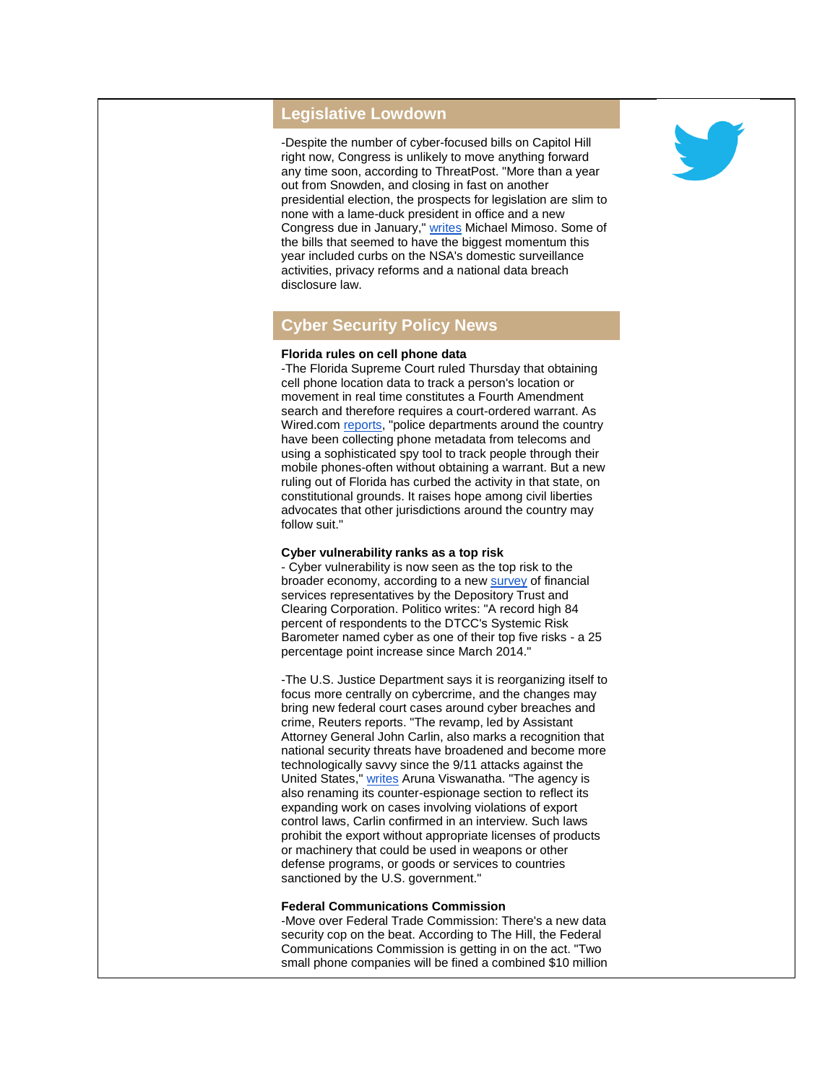#### **Legislative Lowdown**

-Despite the number of cyber-focused bills on Capitol Hill right now, Congress is unlikely to move anything forward any time soon, according to ThreatPost. "More than a year out from Snowden, and closing in fast on another presidential election, the prospects for legislation are slim to none with a lame-duck president in office and a new Congress due in January," [writes](http://r20.rs6.net/tn.jsp?f=0012jQ_6oV2taN7JtFKrNpFd3U8W705VHFpXOx399xGQu-EmEnF_spTd7vwcOKH_65AcQ5sFGtbVUBUv9q97-hK0NcNs40cc3QzHI1KRtT96Gdk8KCRCjqbwxCDckeuhSm7NKwIbY8gFzv7UT2bhXQafPd8DamnPPA9BbHO23hmNmtaHMUbZgxxRbYCHwgOyOn-RKSuKOWTTS5z0wqQE59earRnHotkNOJcPqm4UBQMe9o=&c=nMDzw4fowYLr108iDvEmTFsggP3kIPsjm_gJnrM7hJ6JIU6AjwEhWA==&ch=oIejaiLfhDdxhFNFfGGg3IbWmaZy8Od8-xam9qM4S39ayl6erO8B6g==) Michael Mimoso. Some of the bills that seemed to have the biggest momentum this year included curbs on the NSA's domestic surveillance activities, privacy reforms and a national data breach disclosure law.

# **Cyber Security Policy News**

#### **Florida rules on cell phone data**

-The Florida Supreme Court ruled Thursday that obtaining cell phone location data to track a person's location or movement in real time constitutes a Fourth Amendment search and therefore requires a court-ordered warrant. As Wired.com [reports,](http://r20.rs6.net/tn.jsp?f=0012jQ_6oV2taN7JtFKrNpFd3U8W705VHFpXOx399xGQu-EmEnF_spTd7vwcOKH_65A7w43bUiWZ4IPpU_pJSBQSHog3GIK_rT6u3ofrky0TxDHiXtwJwr4OXsr6WQn0Ksv7UT-FBKK-EJwD4MMMcycmNYHjayK-g1Ow6REdau1bDBGY-TCfeIgWetqn8zgL81XuJc7nKZfJTA_sdCmadEWHVsenim0X1NMg-U8Td8Ja_Tjp-JCXgEqelvSIYnlFyCi&c=nMDzw4fowYLr108iDvEmTFsggP3kIPsjm_gJnrM7hJ6JIU6AjwEhWA==&ch=oIejaiLfhDdxhFNFfGGg3IbWmaZy8Od8-xam9qM4S39ayl6erO8B6g==) "police departments around the country have been collecting phone metadata from telecoms and using a sophisticated spy tool to track people through their mobile phones-often without obtaining a warrant. But a new ruling out of Florida has curbed the activity in that state, on constitutional grounds. It raises hope among civil liberties advocates that other jurisdictions around the country may follow suit."

#### **Cyber vulnerability ranks as a top risk**

- Cyber vulnerability is now seen as the top risk to the broader economy, according to a new [survey](http://r20.rs6.net/tn.jsp?f=0012jQ_6oV2taN7JtFKrNpFd3U8W705VHFpXOx399xGQu-EmEnF_spTd7vwcOKH_65AkDVUgnYo3qZhsBjkmKjR3BPqCUCl_mDVbrdafLHQK8wwOVIQZF8qwc50kTMU1v4STCFECZT7tWPZE0P5ZNmZYQquq8OqrgL_89U8bLwnJ8Q=&c=nMDzw4fowYLr108iDvEmTFsggP3kIPsjm_gJnrM7hJ6JIU6AjwEhWA==&ch=oIejaiLfhDdxhFNFfGGg3IbWmaZy8Od8-xam9qM4S39ayl6erO8B6g==) of financial services representatives by the Depository Trust and Clearing Corporation. Politico writes: "A record high 84 percent of respondents to the DTCC's Systemic Risk Barometer named cyber as one of their top five risks - a 25 percentage point increase since March 2014."

-The U.S. Justice Department says it is reorganizing itself to focus more centrally on cybercrime, and the changes may bring new federal court cases around cyber breaches and crime, Reuters reports. "The revamp, led by Assistant Attorney General John Carlin, also marks a recognition that national security threats have broadened and become more technologically savvy since the 9/11 attacks against the United States," [writes](http://r20.rs6.net/tn.jsp?f=0012jQ_6oV2taN7JtFKrNpFd3U8W705VHFpXOx399xGQu-EmEnF_spTd7vwcOKH_65ASlPK5dfE5d4ZkVeoS8WVZ0v4tqaPs4crl_95-MEcGw89KviMZfg3c26Z3nAF9RF0V4AXWR0oFtgEpMHmGNSAFOTFqeiS_C_VbQS7WA1IdJ-Sh9rpjW-kflodGJybCOn66Inkm3gnhXgls4adOxboR34JqbKUXR9aoZvpK231xXW1YajDwvjB6eYF8HdESRI8PV03JWJLERZMmmsVrXa_-ynrAJPbU_z3V-VTu_8OBCDKI4llpkTRpQ==&c=nMDzw4fowYLr108iDvEmTFsggP3kIPsjm_gJnrM7hJ6JIU6AjwEhWA==&ch=oIejaiLfhDdxhFNFfGGg3IbWmaZy8Od8-xam9qM4S39ayl6erO8B6g==) Aruna Viswanatha. "The agency is also renaming its counter-espionage section to reflect its expanding work on cases involving violations of export control laws, Carlin confirmed in an interview. Such laws prohibit the export without appropriate licenses of products or machinery that could be used in weapons or other defense programs, or goods or services to countries sanctioned by the U.S. government."

#### **Federal Communications Commission**

-Move over Federal Trade Commission: There's a new data security cop on the beat. According to The Hill, the Federal Communications Commission is getting in on the act. "Two small phone companies will be fined a combined \$10 million